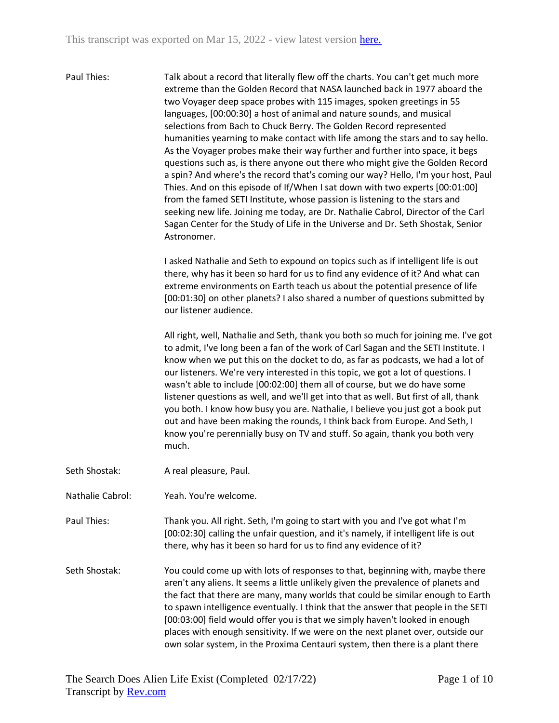Paul Thies: Talk about a record that literally flew off the charts. You can't get much more extreme than the Golden Record that NASA launched back in 1977 aboard the two Voyager deep space probes with 115 images, spoken greetings in 55 languages, [00:00:30] a host of animal and nature sounds, and musical selections from Bach to Chuck Berry. The Golden Record represented humanities yearning to make contact with life among the stars and to say hello. As the Voyager probes make their way further and further into space, it begs questions such as, is there anyone out there who might give the Golden Record a spin? And where's the record that's coming our way? Hello, I'm your host, Paul Thies. And on this episode of If/When I sat down with two experts [00:01:00] from the famed SETI Institute, whose passion is listening to the stars and seeking new life. Joining me today, are Dr. Nathalie Cabrol, Director of the Carl Sagan Center for the Study of Life in the Universe and Dr. Seth Shostak, Senior Astronomer.

> I asked Nathalie and Seth to expound on topics such as if intelligent life is out there, why has it been so hard for us to find any evidence of it? And what can extreme environments on Earth teach us about the potential presence of life [00:01:30] on other planets? I also shared a number of questions submitted by our listener audience.

All right, well, Nathalie and Seth, thank you both so much for joining me. I've got to admit, I've long been a fan of the work of Carl Sagan and the SETI Institute. I know when we put this on the docket to do, as far as podcasts, we had a lot of our listeners. We're very interested in this topic, we got a lot of questions. I wasn't able to include [00:02:00] them all of course, but we do have some listener questions as well, and we'll get into that as well. But first of all, thank you both. I know how busy you are. Nathalie, I believe you just got a book put out and have been making the rounds, I think back from Europe. And Seth, I know you're perennially busy on TV and stuff. So again, thank you both very much.

- Seth Shostak: A real pleasure, Paul.
- Nathalie Cabrol: Yeah. You're welcome.

Paul Thies: Thank you. All right. Seth, I'm going to start with you and I've got what I'm [00:02:30] calling the unfair question, and it's namely, if intelligent life is out there, why has it been so hard for us to find any evidence of it?

Seth Shostak: You could come up with lots of responses to that, beginning with, maybe there aren't any aliens. It seems a little unlikely given the prevalence of planets and the fact that there are many, many worlds that could be similar enough to Earth to spawn intelligence eventually. I think that the answer that people in the SETI [00:03:00] field would offer you is that we simply haven't looked in enough places with enough sensitivity. If we were on the next planet over, outside our own solar system, in the Proxima Centauri system, then there is a plant there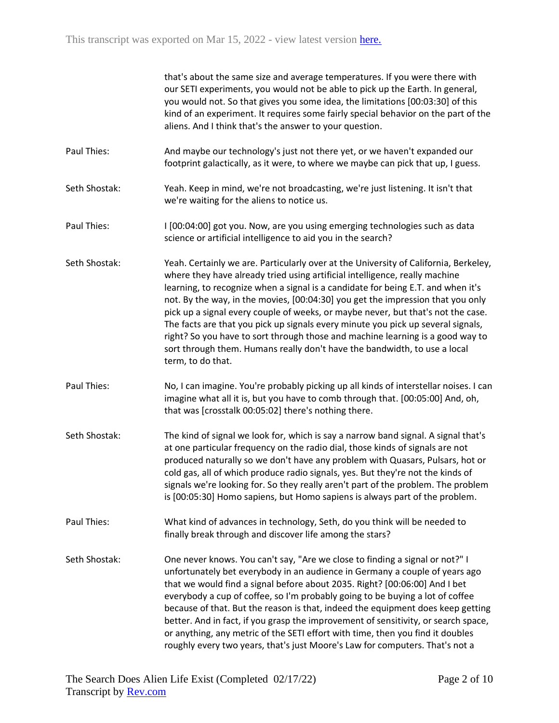that's about the same size and average temperatures. If you were there with our SETI experiments, you would not be able to pick up the Earth. In general, you would not. So that gives you some idea, the limitations [00:03:30] of this kind of an experiment. It requires some fairly special behavior on the part of the aliens. And I think that's the answer to your question.

- Paul Thies: And maybe our technology's just not there yet, or we haven't expanded our footprint galactically, as it were, to where we maybe can pick that up, I guess.
- Seth Shostak: Yeah. Keep in mind, we're not broadcasting, we're just listening. It isn't that we're waiting for the aliens to notice us.
- Paul Thies: I [00:04:00] got you. Now, are you using emerging technologies such as data science or artificial intelligence to aid you in the search?
- Seth Shostak: Yeah. Certainly we are. Particularly over at the University of California, Berkeley, where they have already tried using artificial intelligence, really machine learning, to recognize when a signal is a candidate for being E.T. and when it's not. By the way, in the movies, [00:04:30] you get the impression that you only pick up a signal every couple of weeks, or maybe never, but that's not the case. The facts are that you pick up signals every minute you pick up several signals, right? So you have to sort through those and machine learning is a good way to sort through them. Humans really don't have the bandwidth, to use a local term, to do that.
- Paul Thies: No, I can imagine. You're probably picking up all kinds of interstellar noises. I can imagine what all it is, but you have to comb through that. [00:05:00] And, oh, that was [crosstalk 00:05:02] there's nothing there.
- Seth Shostak: The kind of signal we look for, which is say a narrow band signal. A signal that's at one particular frequency on the radio dial, those kinds of signals are not produced naturally so we don't have any problem with Quasars, Pulsars, hot or cold gas, all of which produce radio signals, yes. But they're not the kinds of signals we're looking for. So they really aren't part of the problem. The problem is [00:05:30] Homo sapiens, but Homo sapiens is always part of the problem.
- Paul Thies: What kind of advances in technology, Seth, do you think will be needed to finally break through and discover life among the stars?
- Seth Shostak: One never knows. You can't say, "Are we close to finding a signal or not?" I unfortunately bet everybody in an audience in Germany a couple of years ago that we would find a signal before about 2035. Right? [00:06:00] And I bet everybody a cup of coffee, so I'm probably going to be buying a lot of coffee because of that. But the reason is that, indeed the equipment does keep getting better. And in fact, if you grasp the improvement of sensitivity, or search space, or anything, any metric of the SETI effort with time, then you find it doubles roughly every two years, that's just Moore's Law for computers. That's not a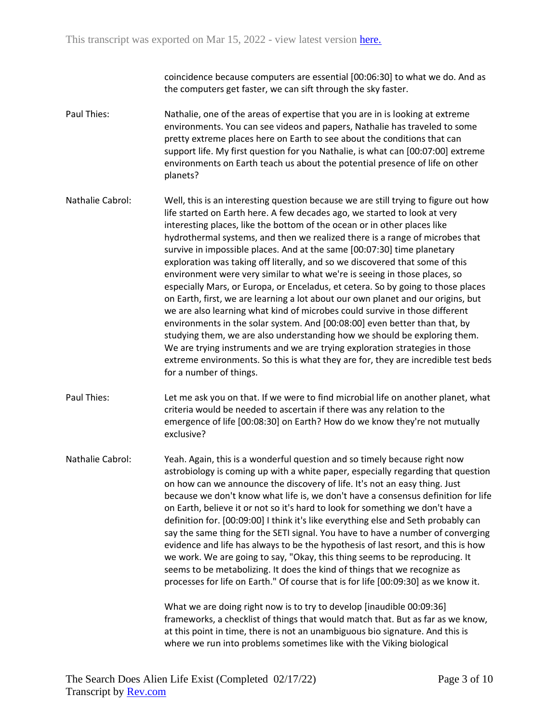coincidence because computers are essential [00:06:30] to what we do. And as the computers get faster, we can sift through the sky faster.

- Paul Thies: Nathalie, one of the areas of expertise that you are in is looking at extreme environments. You can see videos and papers, Nathalie has traveled to some pretty extreme places here on Earth to see about the conditions that can support life. My first question for you Nathalie, is what can [00:07:00] extreme environments on Earth teach us about the potential presence of life on other planets?
- Nathalie Cabrol: Well, this is an interesting question because we are still trying to figure out how life started on Earth here. A few decades ago, we started to look at very interesting places, like the bottom of the ocean or in other places like hydrothermal systems, and then we realized there is a range of microbes that survive in impossible places. And at the same [00:07:30] time planetary exploration was taking off literally, and so we discovered that some of this environment were very similar to what we're is seeing in those places, so especially Mars, or Europa, or Enceladus, et cetera. So by going to those places on Earth, first, we are learning a lot about our own planet and our origins, but we are also learning what kind of microbes could survive in those different environments in the solar system. And [00:08:00] even better than that, by studying them, we are also understanding how we should be exploring them. We are trying instruments and we are trying exploration strategies in those extreme environments. So this is what they are for, they are incredible test beds for a number of things.
- Paul Thies: Let me ask you on that. If we were to find microbial life on another planet, what criteria would be needed to ascertain if there was any relation to the emergence of life [00:08:30] on Earth? How do we know they're not mutually exclusive?
- Nathalie Cabrol: Yeah. Again, this is a wonderful question and so timely because right now astrobiology is coming up with a white paper, especially regarding that question on how can we announce the discovery of life. It's not an easy thing. Just because we don't know what life is, we don't have a consensus definition for life on Earth, believe it or not so it's hard to look for something we don't have a definition for. [00:09:00] I think it's like everything else and Seth probably can say the same thing for the SETI signal. You have to have a number of converging evidence and life has always to be the hypothesis of last resort, and this is how we work. We are going to say, "Okay, this thing seems to be reproducing. It seems to be metabolizing. It does the kind of things that we recognize as processes for life on Earth." Of course that is for life [00:09:30] as we know it.

What we are doing right now is to try to develop [inaudible 00:09:36] frameworks, a checklist of things that would match that. But as far as we know, at this point in time, there is not an unambiguous bio signature. And this is where we run into problems sometimes like with the Viking biological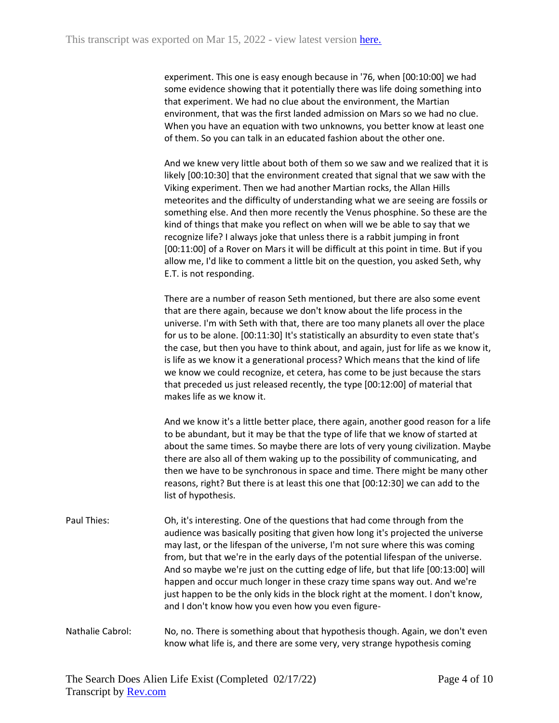experiment. This one is easy enough because in '76, when [00:10:00] we had some evidence showing that it potentially there was life doing something into that experiment. We had no clue about the environment, the Martian environment, that was the first landed admission on Mars so we had no clue. When you have an equation with two unknowns, you better know at least one of them. So you can talk in an educated fashion about the other one.

And we knew very little about both of them so we saw and we realized that it is likely [00:10:30] that the environment created that signal that we saw with the Viking experiment. Then we had another Martian rocks, the Allan Hills meteorites and the difficulty of understanding what we are seeing are fossils or something else. And then more recently the Venus phosphine. So these are the kind of things that make you reflect on when will we be able to say that we recognize life? I always joke that unless there is a rabbit jumping in front [00:11:00] of a Rover on Mars it will be difficult at this point in time. But if you allow me, I'd like to comment a little bit on the question, you asked Seth, why E.T. is not responding.

There are a number of reason Seth mentioned, but there are also some event that are there again, because we don't know about the life process in the universe. I'm with Seth with that, there are too many planets all over the place for us to be alone. [00:11:30] It's statistically an absurdity to even state that's the case, but then you have to think about, and again, just for life as we know it, is life as we know it a generational process? Which means that the kind of life we know we could recognize, et cetera, has come to be just because the stars that preceded us just released recently, the type [00:12:00] of material that makes life as we know it.

And we know it's a little better place, there again, another good reason for a life to be abundant, but it may be that the type of life that we know of started at about the same times. So maybe there are lots of very young civilization. Maybe there are also all of them waking up to the possibility of communicating, and then we have to be synchronous in space and time. There might be many other reasons, right? But there is at least this one that [00:12:30] we can add to the list of hypothesis.

Paul Thies: Oh, it's interesting. One of the questions that had come through from the audience was basically positing that given how long it's projected the universe may last, or the lifespan of the universe, I'm not sure where this was coming from, but that we're in the early days of the potential lifespan of the universe. And so maybe we're just on the cutting edge of life, but that life [00:13:00] will happen and occur much longer in these crazy time spans way out. And we're just happen to be the only kids in the block right at the moment. I don't know, and I don't know how you even how you even figure-

Nathalie Cabrol: No, no. There is something about that hypothesis though. Again, we don't even know what life is, and there are some very, very strange hypothesis coming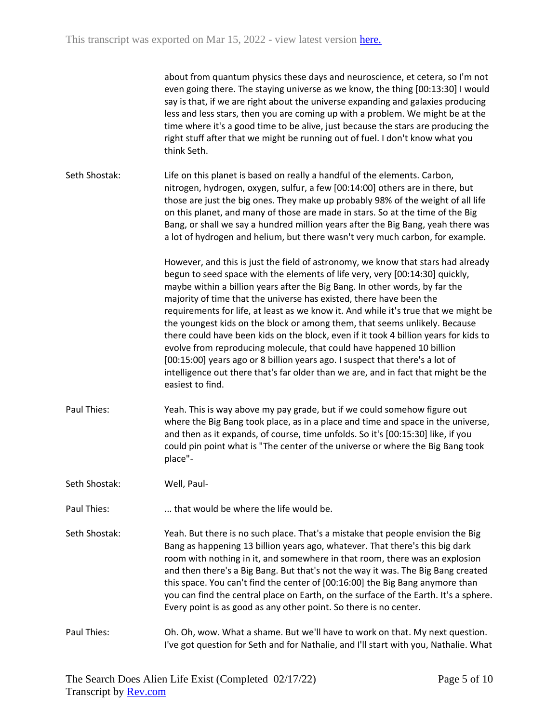|               | about from quantum physics these days and neuroscience, et cetera, so I'm not<br>even going there. The staying universe as we know, the thing [00:13:30] I would<br>say is that, if we are right about the universe expanding and galaxies producing<br>less and less stars, then you are coming up with a problem. We might be at the<br>time where it's a good time to be alive, just because the stars are producing the<br>right stuff after that we might be running out of fuel. I don't know what you<br>think Seth.                                                                                                                                                                                                                                                                                                                            |
|---------------|--------------------------------------------------------------------------------------------------------------------------------------------------------------------------------------------------------------------------------------------------------------------------------------------------------------------------------------------------------------------------------------------------------------------------------------------------------------------------------------------------------------------------------------------------------------------------------------------------------------------------------------------------------------------------------------------------------------------------------------------------------------------------------------------------------------------------------------------------------|
| Seth Shostak: | Life on this planet is based on really a handful of the elements. Carbon,<br>nitrogen, hydrogen, oxygen, sulfur, a few [00:14:00] others are in there, but<br>those are just the big ones. They make up probably 98% of the weight of all life<br>on this planet, and many of those are made in stars. So at the time of the Big<br>Bang, or shall we say a hundred million years after the Big Bang, yeah there was<br>a lot of hydrogen and helium, but there wasn't very much carbon, for example.                                                                                                                                                                                                                                                                                                                                                  |
|               | However, and this is just the field of astronomy, we know that stars had already<br>begun to seed space with the elements of life very, very [00:14:30] quickly,<br>maybe within a billion years after the Big Bang. In other words, by far the<br>majority of time that the universe has existed, there have been the<br>requirements for life, at least as we know it. And while it's true that we might be<br>the youngest kids on the block or among them, that seems unlikely. Because<br>there could have been kids on the block, even if it took 4 billion years for kids to<br>evolve from reproducing molecule, that could have happened 10 billion<br>[00:15:00] years ago or 8 billion years ago. I suspect that there's a lot of<br>intelligence out there that's far older than we are, and in fact that might be the<br>easiest to find. |
| Paul Thies:   | Yeah. This is way above my pay grade, but if we could somehow figure out<br>where the Big Bang took place, as in a place and time and space in the universe,<br>and then as it expands, of course, time unfolds. So it's [00:15:30] like, if you<br>could pin point what is "The center of the universe or where the Big Bang took<br>place"-                                                                                                                                                                                                                                                                                                                                                                                                                                                                                                          |
| Seth Shostak: | Well, Paul-                                                                                                                                                                                                                                                                                                                                                                                                                                                                                                                                                                                                                                                                                                                                                                                                                                            |
| Paul Thies:   | that would be where the life would be.                                                                                                                                                                                                                                                                                                                                                                                                                                                                                                                                                                                                                                                                                                                                                                                                                 |
| Seth Shostak: | Yeah. But there is no such place. That's a mistake that people envision the Big<br>Bang as happening 13 billion years ago, whatever. That there's this big dark<br>room with nothing in it, and somewhere in that room, there was an explosion<br>and then there's a Big Bang. But that's not the way it was. The Big Bang created<br>this space. You can't find the center of [00:16:00] the Big Bang anymore than<br>you can find the central place on Earth, on the surface of the Earth. It's a sphere.<br>Every point is as good as any other point. So there is no center.                                                                                                                                                                                                                                                                       |
| Paul Thies:   | Oh. Oh, wow. What a shame. But we'll have to work on that. My next question.<br>I've got question for Seth and for Nathalie, and I'll start with you, Nathalie. What                                                                                                                                                                                                                                                                                                                                                                                                                                                                                                                                                                                                                                                                                   |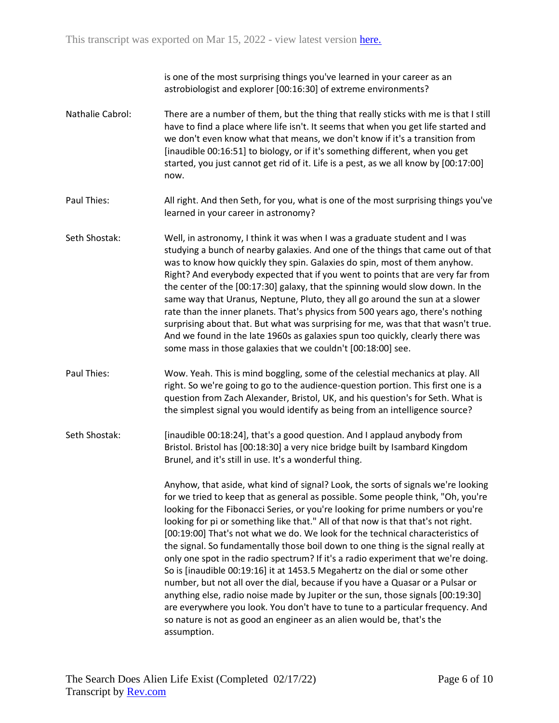is one of the most surprising things you've learned in your career as an astrobiologist and explorer [00:16:30] of extreme environments?

- Nathalie Cabrol: There are a number of them, but the thing that really sticks with me is that I still have to find a place where life isn't. It seems that when you get life started and we don't even know what that means, we don't know if it's a transition from [inaudible 00:16:51] to biology, or if it's something different, when you get started, you just cannot get rid of it. Life is a pest, as we all know by [00:17:00] now.
- Paul Thies: All right. And then Seth, for you, what is one of the most surprising things you've learned in your career in astronomy?
- Seth Shostak: Well, in astronomy, I think it was when I was a graduate student and I was studying a bunch of nearby galaxies. And one of the things that came out of that was to know how quickly they spin. Galaxies do spin, most of them anyhow. Right? And everybody expected that if you went to points that are very far from the center of the [00:17:30] galaxy, that the spinning would slow down. In the same way that Uranus, Neptune, Pluto, they all go around the sun at a slower rate than the inner planets. That's physics from 500 years ago, there's nothing surprising about that. But what was surprising for me, was that that wasn't true. And we found in the late 1960s as galaxies spun too quickly, clearly there was some mass in those galaxies that we couldn't [00:18:00] see.
- Paul Thies: Wow. Yeah. This is mind boggling, some of the celestial mechanics at play. All right. So we're going to go to the audience-question portion. This first one is a question from Zach Alexander, Bristol, UK, and his question's for Seth. What is the simplest signal you would identify as being from an intelligence source?
- Seth Shostak: [inaudible 00:18:24], that's a good question. And I applaud anybody from Bristol. Bristol has [00:18:30] a very nice bridge built by Isambard Kingdom Brunel, and it's still in use. It's a wonderful thing.

Anyhow, that aside, what kind of signal? Look, the sorts of signals we're looking for we tried to keep that as general as possible. Some people think, "Oh, you're looking for the Fibonacci Series, or you're looking for prime numbers or you're looking for pi or something like that." All of that now is that that's not right. [00:19:00] That's not what we do. We look for the technical characteristics of the signal. So fundamentally those boil down to one thing is the signal really at only one spot in the radio spectrum? If it's a radio experiment that we're doing. So is [inaudible 00:19:16] it at 1453.5 Megahertz on the dial or some other number, but not all over the dial, because if you have a Quasar or a Pulsar or anything else, radio noise made by Jupiter or the sun, those signals [00:19:30] are everywhere you look. You don't have to tune to a particular frequency. And so nature is not as good an engineer as an alien would be, that's the assumption.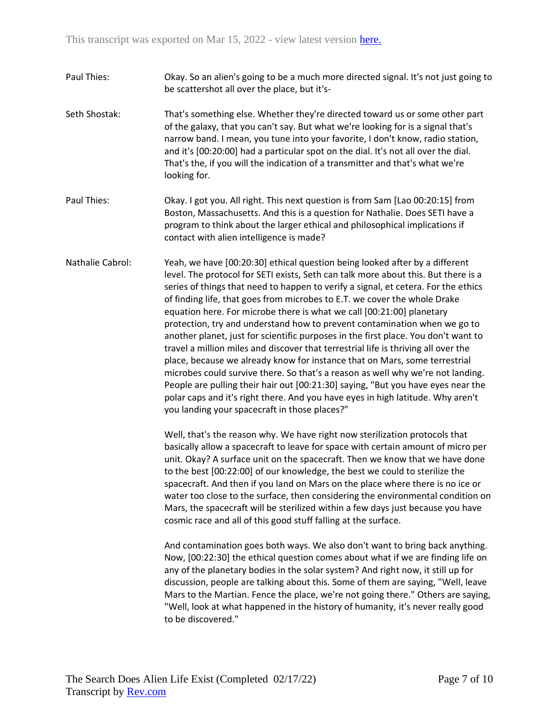- Paul Thies: Okay. So an alien's going to be a much more directed signal. It's not just going to be scattershot all over the place, but it's-
- Seth Shostak: That's something else. Whether they're directed toward us or some other part of the galaxy, that you can't say. But what we're looking for is a signal that's narrow band. I mean, you tune into your favorite, I don't know, radio station, and it's [00:20:00] had a particular spot on the dial. It's not all over the dial. That's the, if you will the indication of a transmitter and that's what we're looking for.
- Paul Thies: Okay. I got you. All right. This next question is from Sam [Lao 00:20:15] from Boston, Massachusetts. And this is a question for Nathalie. Does SETI have a program to think about the larger ethical and philosophical implications if contact with alien intelligence is made?
- Nathalie Cabrol: Yeah, we have [00:20:30] ethical question being looked after by a different level. The protocol for SETI exists, Seth can talk more about this. But there is a series of things that need to happen to verify a signal, et cetera. For the ethics of finding life, that goes from microbes to E.T. we cover the whole Drake equation here. For microbe there is what we call [00:21:00] planetary protection, try and understand how to prevent contamination when we go to another planet, just for scientific purposes in the first place. You don't want to travel a million miles and discover that terrestrial life is thriving all over the place, because we already know for instance that on Mars, some terrestrial microbes could survive there. So that's a reason as well why we're not landing. People are pulling their hair out [00:21:30] saying, "But you have eyes near the polar caps and it's right there. And you have eyes in high latitude. Why aren't you landing your spacecraft in those places?"

Well, that's the reason why. We have right now sterilization protocols that basically allow a spacecraft to leave for space with certain amount of micro per unit. Okay? A surface unit on the spacecraft. Then we know that we have done to the best [00:22:00] of our knowledge, the best we could to sterilize the spacecraft. And then if you land on Mars on the place where there is no ice or water too close to the surface, then considering the environmental condition on Mars, the spacecraft will be sterilized within a few days just because you have cosmic race and all of this good stuff falling at the surface.

And contamination goes both ways. We also don't want to bring back anything. Now, [00:22:30] the ethical question comes about what if we are finding life on any of the planetary bodies in the solar system? And right now, it still up for discussion, people are talking about this. Some of them are saying, "Well, leave Mars to the Martian. Fence the place, we're not going there." Others are saying, "Well, look at what happened in the history of humanity, it's never really good to be discovered."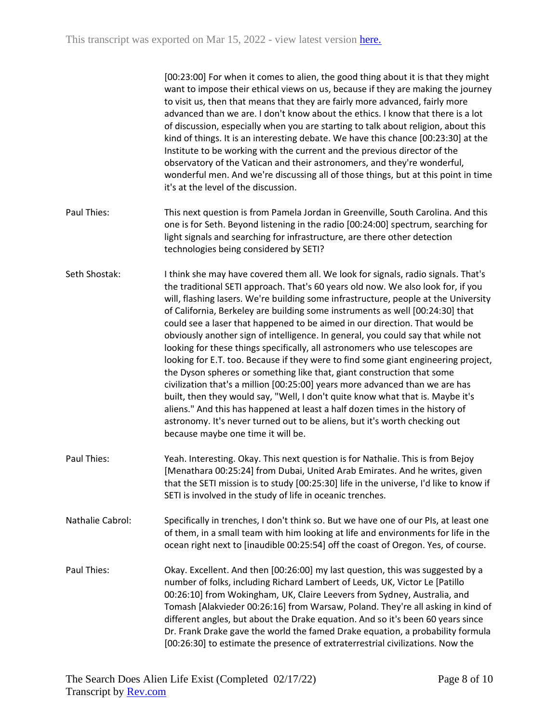|                  | [00:23:00] For when it comes to alien, the good thing about it is that they might<br>want to impose their ethical views on us, because if they are making the journey<br>to visit us, then that means that they are fairly more advanced, fairly more<br>advanced than we are. I don't know about the ethics. I know that there is a lot<br>of discussion, especially when you are starting to talk about religion, about this<br>kind of things. It is an interesting debate. We have this chance [00:23:30] at the<br>Institute to be working with the current and the previous director of the<br>observatory of the Vatican and their astronomers, and they're wonderful,<br>wonderful men. And we're discussing all of those things, but at this point in time<br>it's at the level of the discussion.                                                                                                                                                                                                                                                                                                                             |
|------------------|-----------------------------------------------------------------------------------------------------------------------------------------------------------------------------------------------------------------------------------------------------------------------------------------------------------------------------------------------------------------------------------------------------------------------------------------------------------------------------------------------------------------------------------------------------------------------------------------------------------------------------------------------------------------------------------------------------------------------------------------------------------------------------------------------------------------------------------------------------------------------------------------------------------------------------------------------------------------------------------------------------------------------------------------------------------------------------------------------------------------------------------------|
| Paul Thies:      | This next question is from Pamela Jordan in Greenville, South Carolina. And this<br>one is for Seth. Beyond listening in the radio [00:24:00] spectrum, searching for<br>light signals and searching for infrastructure, are there other detection<br>technologies being considered by SETI?                                                                                                                                                                                                                                                                                                                                                                                                                                                                                                                                                                                                                                                                                                                                                                                                                                            |
| Seth Shostak:    | I think she may have covered them all. We look for signals, radio signals. That's<br>the traditional SETI approach. That's 60 years old now. We also look for, if you<br>will, flashing lasers. We're building some infrastructure, people at the University<br>of California, Berkeley are building some instruments as well [00:24:30] that<br>could see a laser that happened to be aimed in our direction. That would be<br>obviously another sign of intelligence. In general, you could say that while not<br>looking for these things specifically, all astronomers who use telescopes are<br>looking for E.T. too. Because if they were to find some giant engineering project,<br>the Dyson spheres or something like that, giant construction that some<br>civilization that's a million [00:25:00] years more advanced than we are has<br>built, then they would say, "Well, I don't quite know what that is. Maybe it's<br>aliens." And this has happened at least a half dozen times in the history of<br>astronomy. It's never turned out to be aliens, but it's worth checking out<br>because maybe one time it will be. |
| Paul Thies:      | Yeah. Interesting. Okay. This next question is for Nathalie. This is from Bejoy<br>[Menathara 00:25:24] from Dubai, United Arab Emirates. And he writes, given<br>that the SETI mission is to study [00:25:30] life in the universe, I'd like to know if<br>SETI is involved in the study of life in oceanic trenches.                                                                                                                                                                                                                                                                                                                                                                                                                                                                                                                                                                                                                                                                                                                                                                                                                  |
| Nathalie Cabrol: | Specifically in trenches, I don't think so. But we have one of our PIs, at least one<br>of them, in a small team with him looking at life and environments for life in the<br>ocean right next to [inaudible 00:25:54] off the coast of Oregon. Yes, of course.                                                                                                                                                                                                                                                                                                                                                                                                                                                                                                                                                                                                                                                                                                                                                                                                                                                                         |
| Paul Thies:      | Okay. Excellent. And then [00:26:00] my last question, this was suggested by a<br>number of folks, including Richard Lambert of Leeds, UK, Victor Le [Patillo<br>00:26:10] from Wokingham, UK, Claire Leevers from Sydney, Australia, and<br>Tomash [Alakvieder 00:26:16] from Warsaw, Poland. They're all asking in kind of<br>different angles, but about the Drake equation. And so it's been 60 years since<br>Dr. Frank Drake gave the world the famed Drake equation, a probability formula<br>[00:26:30] to estimate the presence of extraterrestrial civilizations. Now the                                                                                                                                                                                                                                                                                                                                                                                                                                                                                                                                                     |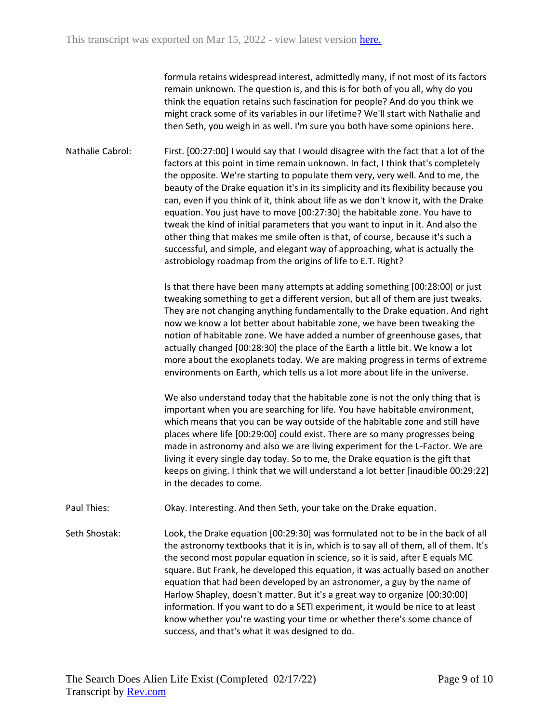formula retains widespread interest, admittedly many, if not most of its factors remain unknown. The question is, and this is for both of you all, why do you think the equation retains such fascination for people? And do you think we might crack some of its variables in our lifetime? We'll start with Nathalie and then Seth, you weigh in as well. I'm sure you both have some opinions here.

Nathalie Cabrol: First. [00:27:00] I would say that I would disagree with the fact that a lot of the factors at this point in time remain unknown. In fact, I think that's completely the opposite. We're starting to populate them very, very well. And to me, the beauty of the Drake equation it's in its simplicity and its flexibility because you can, even if you think of it, think about life as we don't know it, with the Drake equation. You just have to move [00:27:30] the habitable zone. You have to tweak the kind of initial parameters that you want to input in it. And also the other thing that makes me smile often is that, of course, because it's such a successful, and simple, and elegant way of approaching, what is actually the astrobiology roadmap from the origins of life to E.T. Right?

> Is that there have been many attempts at adding something [00:28:00] or just tweaking something to get a different version, but all of them are just tweaks. They are not changing anything fundamentally to the Drake equation. And right now we know a lot better about habitable zone, we have been tweaking the notion of habitable zone. We have added a number of greenhouse gases, that actually changed [00:28:30] the place of the Earth a little bit. We know a lot more about the exoplanets today. We are making progress in terms of extreme environments on Earth, which tells us a lot more about life in the universe.

> We also understand today that the habitable zone is not the only thing that is important when you are searching for life. You have habitable environment, which means that you can be way outside of the habitable zone and still have places where life [00:29:00] could exist. There are so many progresses being made in astronomy and also we are living experiment for the L-Factor. We are living it every single day today. So to me, the Drake equation is the gift that keeps on giving. I think that we will understand a lot better [inaudible 00:29:22] in the decades to come.

Paul Thies: Okay. Interesting. And then Seth, your take on the Drake equation.

Seth Shostak: Look, the Drake equation [00:29:30] was formulated not to be in the back of all the astronomy textbooks that it is in, which is to say all of them, all of them. It's the second most popular equation in science, so it is said, after E equals MC square. But Frank, he developed this equation, it was actually based on another equation that had been developed by an astronomer, a guy by the name of Harlow Shapley, doesn't matter. But it's a great way to organize [00:30:00] information. If you want to do a SETI experiment, it would be nice to at least know whether you're wasting your time or whether there's some chance of success, and that's what it was designed to do.